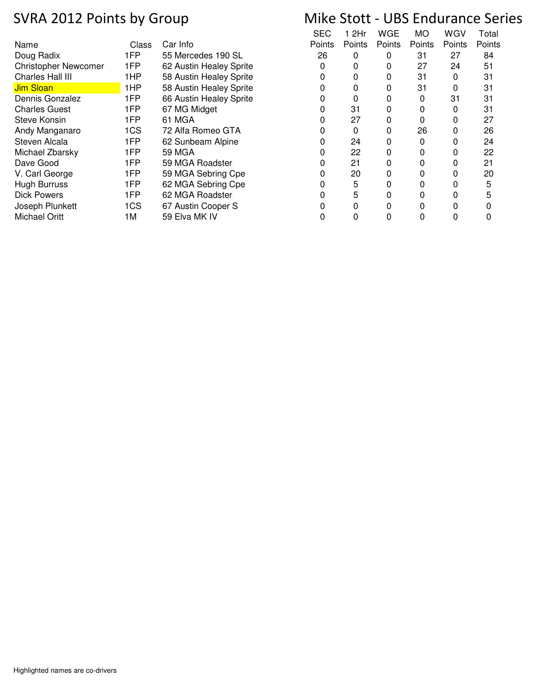| Name                        | Class | Car Info                | Points | Points | Points | Points | Points | Poin |
|-----------------------------|-------|-------------------------|--------|--------|--------|--------|--------|------|
| Doug Radix                  | 1FP   | 55 Mercedes 190 SL      | 26     |        | 0      | 31     | 27     | 84   |
| <b>Christopher Newcomer</b> | 1FP   | 62 Austin Healey Sprite |        |        | 0      | 27     | 24     | 51   |
| Charles Hall III            | 1HP   | 58 Austin Healey Sprite |        |        | 0      | 31     | 0      | 31   |
| <b>Jim Sloan</b>            | 1HP   | 58 Austin Healey Sprite |        |        | 0      | 31     | 0      | 31   |
| Dennis Gonzalez             | 1FP   | 66 Austin Healey Sprite |        |        |        | 0      | 31     | 31   |
| <b>Charles Guest</b>        | 1FP   | 67 MG Midget            |        | 31     |        |        |        | 31   |
| Steve Konsin                | 1FP   | 61 MGA                  |        | 27     | 0      |        | 0      | 27   |
| Andy Manganaro              | 1CS   | 72 Alfa Romeo GTA       |        | 0      | 0      | 26     | 0      | 26   |
| Steven Alcala               | 1FP   | 62 Sunbeam Alpine       |        | 24     | 0      | 0      |        | 24   |
| Michael Zbarsky             | 1FP   | <b>59 MGA</b>           |        | 22     | 0      |        |        | 22   |
| Dave Good                   | 1FP   | 59 MGA Roadster         |        | 21     | 0      |        |        | 21   |
| V. Carl George              | 1FP   | 59 MGA Sebring Cpe      |        | 20     | 0      |        |        | 20   |
| <b>Hugh Burruss</b>         | 1FP   | 62 MGA Sebring Cpe      |        | 5      | 0      |        |        | 5    |
| <b>Dick Powers</b>          | 1FP   | 62 MGA Roadster         |        | 5      | 0      |        |        | 5    |
| Joseph Plunkett             | 1CS   | 67 Austin Cooper S      |        |        |        |        |        | 0    |
| <b>Michael Oritt</b>        | 1M    | 59 Elva MK IV           |        |        |        |        |        | 0    |

| SEC    | 1 2Hr  | WGE    | МO     | WGV    | Total  |  |
|--------|--------|--------|--------|--------|--------|--|
| Points | Points | Points | Points | Points | Points |  |
| 26     | 0      | 0      | 31     | 27     | 84     |  |
| 0      | 0      | 0      | 27     | 24     | 51     |  |
| 0      | 0      | 0      | 31     | 0      | 31     |  |
| 0      | 0      | 0      | 31     | 0      | 31     |  |
| 0      | 0      | ი      | 0      | 31     | 31     |  |
| 0      | 31     | ი      | 0      | 0      | 31     |  |
| 0      | 27     | ი      | 0      | 0      | 27     |  |
| 0      | 0      | 0      | 26     | 0      | 26     |  |
| 0      | 24     | 0      | 0      | 0      | 24     |  |
| 0      | 22     | ი      | 0      | 0      | 22     |  |
| 0      | 21     | 0      | 0      | U      | 21     |  |
| 0      | 20     | n      | 0      | U      | 20     |  |
| 0      | 5      | 0      | 0      | 0      | 5      |  |
| 0      | 5      | 0      | 0      | 0      | 5      |  |
| 0      | 0      | ი      | 0      | 0      | 0      |  |
| n      | n      | n      | n      | n      |        |  |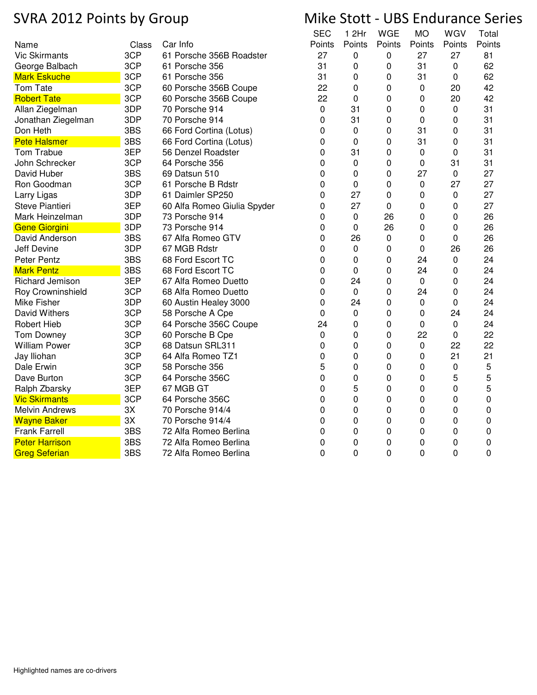|                        |       |                             | <b>SEC</b> | 1 2Hr       | WGE    | МO          | WGV    | Total  |
|------------------------|-------|-----------------------------|------------|-------------|--------|-------------|--------|--------|
| Name                   | Class | Car Info                    | Points     | Points      | Points | Points      | Points | Points |
| <b>Vic Skirmants</b>   | 3CP   | 61 Porsche 356B Roadster    | 27         | 0           | 0      | 27          | 27     | 81     |
| George Balbach         | 3CP   | 61 Porsche 356              | 31         | 0           | 0      | 31          | 0      | 62     |
| <b>Mark Eskuche</b>    | 3CP   | 61 Porsche 356              | 31         | 0           | 0      | 31          | 0      | 62     |
| Tom Tate               | 3CP   | 60 Porsche 356B Coupe       | 22         | 0           | 0      | 0           | 20     | 42     |
| <b>Robert Tate</b>     | 3CP   | 60 Porsche 356B Coupe       | 22         | 0           | 0      | 0           | 20     | 42     |
| Allan Ziegelman        | 3DP   | 70 Porsche 914              | 0          | 31          | 0      | 0           | 0      | 31     |
| Jonathan Ziegelman     | 3DP   | 70 Porsche 914              | 0          | 31          | 0      | 0           | 0      | 31     |
| Don Heth               | 3BS   | 66 Ford Cortina (Lotus)     | 0          | 0           | 0      | 31          | 0      | 31     |
| <b>Pete Halsmer</b>    | 3BS   | 66 Ford Cortina (Lotus)     | 0          | 0           | 0      | 31          | 0      | 31     |
| Tom Trabue             | 3EP   | 56 Denzel Roadster          | 0          | 31          | 0      | 0           | 0      | 31     |
| John Schrecker         | 3CP   | 64 Porsche 356              | 0          | $\mathbf 0$ | 0      | 0           | 31     | 31     |
| David Huber            | 3BS   | 69 Datsun 510               | 0          | 0           | 0      | 27          | 0      | 27     |
| Ron Goodman            | 3CP   | 61 Porsche B Rdstr          | 0          | 0           | 0      | 0           | 27     | 27     |
| Larry Ligas            | 3DP   | 61 Daimler SP250            | 0          | 27          | 0      | 0           | 0      | 27     |
| Steve Piantieri        | 3EP   | 60 Alfa Romeo Giulia Spyder | 0          | 27          | 0      | 0           | 0      | 27     |
| Mark Heinzelman        | 3DP   | 73 Porsche 914              | 0          | $\pmb{0}$   | 26     | 0           | 0      | 26     |
| <b>Gene Giorgini</b>   | 3DP   | 73 Porsche 914              | 0          | 0           | 26     | 0           | 0      | 26     |
| David Anderson         | 3BS   | 67 Alfa Romeo GTV           | 0          | 26          | 0      | 0           | 0      | 26     |
| Jeff Devine            | 3DP   | 67 MGB Rdstr                | 0          | 0           | 0      | 0           | 26     | 26     |
| <b>Peter Pentz</b>     | 3BS   | 68 Ford Escort TC           | 0          | 0           | 0      | 24          | 0      | 24     |
| <b>Mark Pentz</b>      | 3BS   | 68 Ford Escort TC           | 0          | 0           | 0      | 24          | 0      | 24     |
| <b>Richard Jemison</b> | 3EP   | 67 Alfa Romeo Duetto        | 0          | 24          | 0      | $\mathbf 0$ | 0      | 24     |
| Roy Crowninshield      | 3CP   | 68 Alfa Romeo Duetto        | 0          | $\pmb{0}$   | 0      | 24          | 0      | 24     |
| Mike Fisher            | 3DP   | 60 Austin Healey 3000       | 0          | 24          | 0      | 0           | 0      | 24     |
| David Withers          | 3CP   | 58 Porsche A Cpe            | 0          | 0           | 0      | 0           | 24     | 24     |
| <b>Robert Hieb</b>     | 3CP   | 64 Porsche 356C Coupe       | 24         | 0           | 0      | 0           | 0      | 24     |
| <b>Tom Downey</b>      | 3CP   | 60 Porsche B Cpe            | 0          | 0           | 0      | 22          | 0      | 22     |
| <b>William Power</b>   | 3CP   | 68 Datsun SRL311            | 0          | 0           | 0      | $\pmb{0}$   | 22     | 22     |
| Jay Iliohan            | 3CP   | 64 Alfa Romeo TZ1           | 0          | 0           | 0      | 0           | 21     | 21     |
| Dale Erwin             | 3CP   | 58 Porsche 356              | 5          | 0           | 0      | 0           | 0      | 5      |
| Dave Burton            | 3CP   | 64 Porsche 356C             | $\Omega$   | 0           | 0      | 0           | 5      | 5      |
| Ralph Zbarsky          | 3EP   | 67 MGB GT                   | 0          | 5           | 0      | 0           | 0      | 5      |
| <b>Vic Skirmants</b>   | 3CP   | 64 Porsche 356C             | 0          | 0           | 0      | 0           | 0      | 0      |
| <b>Melvin Andrews</b>  | 3X    | 70 Porsche 914/4            | 0          | 0           | 0      | 0           | 0      | 0      |
| <b>Wayne Baker</b>     | 3X    | 70 Porsche 914/4            | 0          | 0           | 0      | 0           | 0      | 0      |
| <b>Frank Farrell</b>   | 3BS   | 72 Alfa Romeo Berlina       | 0          | 0           | 0      | 0           | 0      | 0      |
| <b>Peter Harrison</b>  | 3BS   | 72 Alfa Romeo Berlina       | 0          | 0           | 0      | 0           | 0      | 0      |
| <b>Greg Seferian</b>   | 3BS   | 72 Alfa Romeo Berlina       | 0          | 0           | 0      | 0           | 0      | 0      |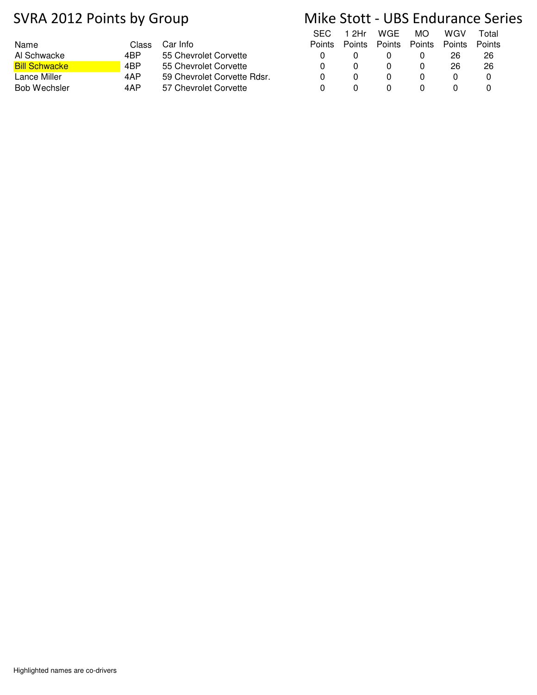|       |                             |        |        |               |               |               | .    |
|-------|-----------------------------|--------|--------|---------------|---------------|---------------|------|
| Class | Car Info                    | Points | Points | <b>Points</b> | <b>Points</b> | <b>Points</b> | Poin |
| 4BP   | 55 Chevrolet Corvette       |        |        |               |               | 26            | 26   |
| 4BP   | 55 Chevrolet Corvette       |        |        |               |               | 26            | 26   |
| 4AP   | 59 Chevrolet Corvette Rdsr. |        |        |               |               |               |      |
| 4AP   | 57 Chevrolet Corvette       |        |        |               |               |               |      |
|       |                             |        |        |               |               |               |      |

|   |   | SEC 12Hr WGE MO                           |   | WGV | Total |  |
|---|---|-------------------------------------------|---|-----|-------|--|
|   |   | Points Points Points Points Points Points |   |     |       |  |
| O |   |                                           |   | 26. | 26    |  |
| 0 | U | O                                         | O | 26  | 26    |  |
| 0 | U |                                           |   | n   |       |  |
|   |   |                                           |   |     |       |  |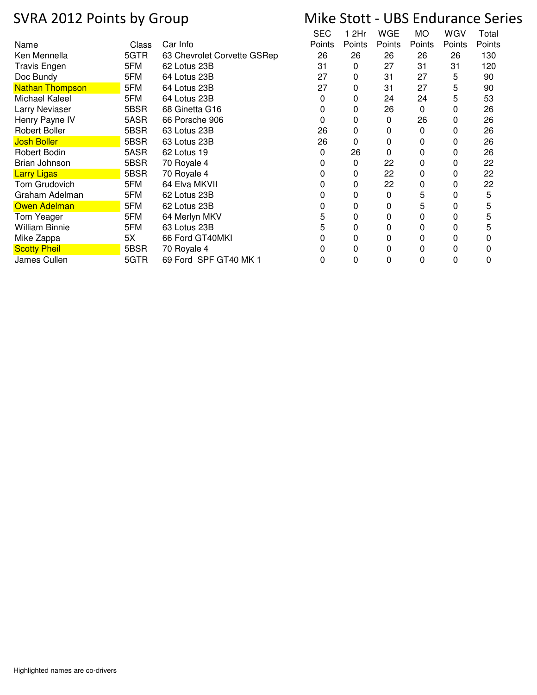|                        |       |                             | SEC    | ∣2Hr   | WGE    | МO     | WGV    | Total  |
|------------------------|-------|-----------------------------|--------|--------|--------|--------|--------|--------|
| Name                   | Class | Car Info                    | Points | Points | Points | Points | Points | Points |
| Ken Mennella           | 5GTR  | 63 Chevrolet Corvette GSRep | 26     | 26     | 26     | 26     | 26     | 130    |
| <b>Travis Engen</b>    | 5FM   | 62 Lotus 23B                | 31     | 0      | 27     | 31     | 31     | 120    |
| Doc Bundy              | 5FM   | 64 Lotus 23B                | 27     | 0      | 31     | 27     | 5      | 90     |
| <b>Nathan Thompson</b> | 5FM   | 64 Lotus 23B                | 27     | 0      | 31     | 27     | 5      | 90     |
| Michael Kaleel         | 5FM   | 64 Lotus 23B                | 0      | 0      | 24     | 24     | 5      | 53     |
| Larry Neviaser         | 5BSR  | 68 Ginetta G16              | 0      | 0      | 26     | 0      | 0      | 26     |
| Henry Payne IV         | 5ASR  | 66 Porsche 906              | 0      | 0      | 0      | 26     | 0      | 26     |
| <b>Robert Boller</b>   | 5BSR  | 63 Lotus 23B                | 26     | 0      | 0      | 0      | 0      | 26     |
| <b>Josh Boller</b>     | 5BSR  | 63 Lotus 23B                | 26     | 0      | 0      | 0      | 0      | 26     |
| Robert Bodin           | 5ASR  | 62 Lotus 19                 | 0      | 26     | 0      | 0      | 0      | 26     |
| Brian Johnson          | 5BSR  | 70 Royale 4                 |        | 0      | 22     | 0      | 0      | 22     |
| <b>Larry Ligas</b>     | 5BSR  | 70 Royale 4                 | 0      | 0      | 22     | 0      | 0      | 22     |
| Tom Grudovich          | 5FM   | 64 Elva MKVII               |        | 0      | 22     | 0      | 0      | 22     |
| Graham Adelman         | 5FM   | 62 Lotus 23B                |        | 0      | 0      | 5      | 0      | 5      |
| Owen Adelman           | 5FM   | 62 Lotus 23B                | 0      | 0      | 0      | 5      | 0      | 5      |
| Tom Yeager             | 5FM   | 64 Merlyn MKV               | 5      | 0      | 0      | 0      | 0      | 5      |
| <b>William Binnie</b>  | 5FM   | 63 Lotus 23B                | 5      | 0      | 0      | 0      | 0      | 5      |
| Mike Zappa             | 5X    | 66 Ford GT40MKI             | 0      | 0      | 0      | 0      | 0      | 0      |
| <b>Scotty Pheil</b>    | 5BSR  | 70 Royale 4                 |        | 0      | 0      | 0      | 0      | 0      |
| James Cullen           | 5GTR  | 69 Ford SPF GT40 MK 1       | 0      | 0      | 0      | 0      | 0      | 0      |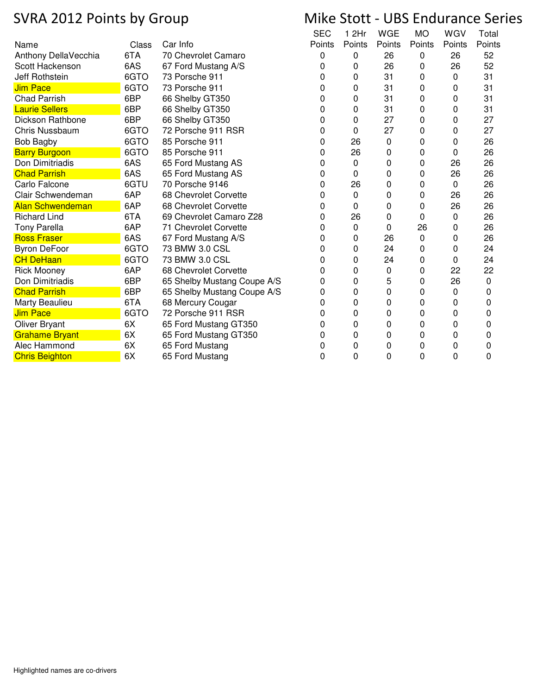|                         |       |                             | <b>SEC</b> | 1 2Hr  | <b>WGE</b> | <b>MO</b> | WGV    | Total  |
|-------------------------|-------|-----------------------------|------------|--------|------------|-----------|--------|--------|
| Name                    | Class | Car Info                    | Points     | Points | Points     | Points    | Points | Points |
| Anthony DellaVecchia    | 6TA   | 70 Chevrolet Camaro         | 0          | 0      | 26         | 0         | 26     | 52     |
| Scott Hackenson         | 6AS   | 67 Ford Mustang A/S         | 0          | 0      | 26         | 0         | 26     | 52     |
| Jeff Rothstein          | 6GTO  | 73 Porsche 911              | 0          | 0      | 31         | 0         | 0      | 31     |
| <b>Jim Pace</b>         | 6GTO  | 73 Porsche 911              | 0          | 0      | 31         | 0         | 0      | 31     |
| <b>Chad Parrish</b>     | 6BP   | 66 Shelby GT350             | 0          | 0      | 31         | 0         | 0      | 31     |
| <b>Laurie Sellers</b>   | 6BP   | 66 Shelby GT350             | 0          | 0      | 31         | 0         | 0      | 31     |
| Dickson Rathbone        | 6BP   | 66 Shelby GT350             | 0          | 0      | 27         | 0         | 0      | 27     |
| Chris Nussbaum          | 6GTO  | 72 Porsche 911 RSR          | 0          | 0      | 27         | 0         | 0      | 27     |
| <b>Bob Bagby</b>        | 6GTO  | 85 Porsche 911              | 0          | 26     | 0          | 0         | 0      | 26     |
| <b>Barry Burgoon</b>    | 6GTO  | 85 Porsche 911              | 0          | 26     | 0          | 0         | 0      | 26     |
| Don Dimitriadis         | 6AS   | 65 Ford Mustang AS          | 0          | 0      | 0          | 0         | 26     | 26     |
| <b>Chad Parrish</b>     | 6AS   | 65 Ford Mustang AS          | 0          | 0      | 0          | 0         | 26     | 26     |
| Carlo Falcone           | 6GTU  | 70 Porsche 9146             | 0          | 26     | 0          | 0         | 0      | 26     |
| Clair Schwendeman       | 6AP   | 68 Chevrolet Corvette       | 0          | 0      | 0          | 0         | 26     | 26     |
| <b>Alan Schwendeman</b> | 6AP   | 68 Chevrolet Corvette       | 0          | 0      | 0          | 0         | 26     | 26     |
| <b>Richard Lind</b>     | 6TA   | 69 Chevrolet Camaro Z28     | 0          | 26     | 0          | 0         | 0      | 26     |
| <b>Tony Parella</b>     | 6AP   | 71 Chevrolet Corvette       | 0          | 0      | 0          | 26        | 0      | 26     |
| <b>Ross Fraser</b>      | 6AS   | 67 Ford Mustang A/S         | 0          | 0      | 26         | 0         | 0      | 26     |
| <b>Byron DeFoor</b>     | 6GTO  | 73 BMW 3.0 CSL              | 0          | 0      | 24         | 0         | 0      | 24     |
| <b>CH DeHaan</b>        | 6GTO  | 73 BMW 3.0 CSL              | 0          | 0      | 24         | 0         | 0      | 24     |
| <b>Rick Mooney</b>      | 6AP   | 68 Chevrolet Corvette       | 0          | 0      | 0          | 0         | 22     | 22     |
| Don Dimitriadis         | 6BP   | 65 Shelby Mustang Coupe A/S | 0          | 0      | 5          | 0         | 26     | 0      |
| <b>Chad Parrish</b>     | 6BP   | 65 Shelby Mustang Coupe A/S | 0          | 0      | 0          | 0         | 0      | 0      |
| Marty Beaulieu          | 6TA   | 68 Mercury Cougar           | 0          | 0      | 0          | 0         | 0      | 0      |
| <b>Jim Pace</b>         | 6GTO  | 72 Porsche 911 RSR          | 0          | 0      | 0          | 0         | 0      | 0      |
| <b>Oliver Bryant</b>    | 6X    | 65 Ford Mustang GT350       | 0          | 0      | 0          | 0         | 0      | 0      |
| <b>Grahame Bryant</b>   | 6X    | 65 Ford Mustang GT350       | 0          | 0      | 0          | 0         | 0      | 0      |
| Alec Hammond            | 6X    | 65 Ford Mustang             | 0          | 0      | 0          | 0         | 0      | 0      |
| <b>Chris Beighton</b>   | 6X    | 65 Ford Mustang             | 0          | 0      | 0          | 0         | 0      | 0      |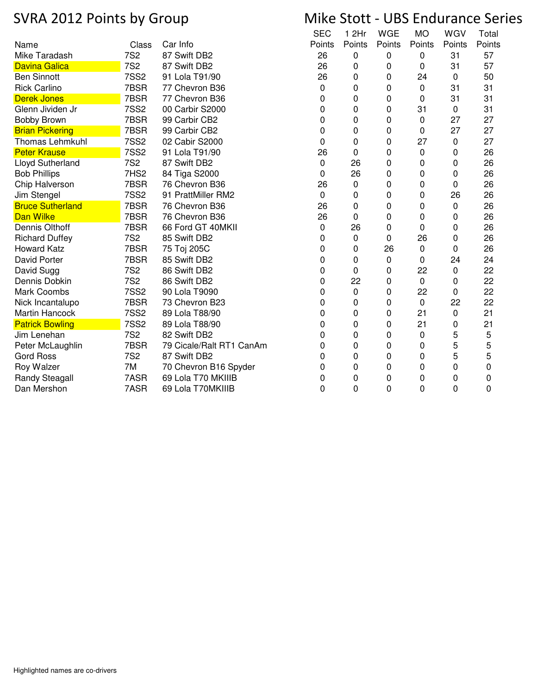## Name Class Car Info SEC **Points** 1 2Hr **Points WGE** Points Mike Taradash 7S2 87 Swift DB2 26 0 0 0 31 57 Davina Galica 7S2 87 Swift DB2 26 0 0 0 31 57 Ben Sinnott 7SS2 91 Lola T91/90 26 0 0 24 0 50 Rick Carlino 7BSR 77 Chevron B36 0 0 0 0 31 31 Derek Jones 7BSR 77 Chevron B36 0 0 0 0 31 31 Glenn Jividen Jr 7SS2 00 Carbir S2000 0 0 0 31 0 31 Bobby Brown 7BSR 99 Carbir CB2 0 0 0 0 27 27 Brian Pickering **7BSR** 99 Carbir CB2 0 0 0 0 27 27 Thomas Lehmkuhl 7SS2 02 Cabir S2000 0 0 0 27 0 27 Peter Krause 7SS2 91 Lola T91/90 26 0 0 0 0 26 Lloyd Sutherland 7S2 87 Swift DB2 0 26 0 0 0 26 Bob Phillips 7HS2 84 Tiga S2000 0 26 0 0 0 26 Chip Halverson 7BSR 76 Chevron B36 26 0 0 0 0 26 Jim Stengel 7SS2 91 PrattMiller RM2 0 0 0 0 26 26 Bruce Sutherland **7BSR 76 Chevron B36** 26 0 0 0 0 26 **Dan Wilke 2010 12 COMPTER 76 Chevron B36** 26 26 0 0 0 0 26 26 26 Dennis Olthoff 7BSR 66 Ford GT 40MKII 0 26 0 0 26 0 26 0 26 0 26 0 Richard Duffey 7S2 85 Swift DB2 0 0 0 26 0 26 Howard Katz 7BSR 75 Toj 205C 0 0 26 0 0 26 David Porter 7BSR 85 Swift DB2 0 0 0 0 24 24 David Sugg 7S2 86 Swift DB2 0 0 0 22 0 22 Dennis Dobkin 7S2 86 Swift DB2 0 22 0 0 0 22 Mark Coombs 7SS2 90 Lola T9090 0 0 0 22 0 22 Nick Incantalupo 7BSR 73 Chevron B23 0 0 0 0 22 22 Martin Hancock **7SS2** 89 Lola T88/90 0 0 0 0 21 0 21 Patrick Bowling 7SS2 89 Lola T88/90 0 0 0 0 21 0 21 Jim Lenehan 7S2 82 Swift DB2 0 0 0 0 5 5 Peter McLaughlin 7BSR 79 Cicale/Ralt RT1 CanAm 0 0 0 0 5 5 Gord Ross 7S2 87 Swift DB2 0 0 0 0 5 5 Roy Walzer 7M 70 Chevron B16 Spyder 0 0 0 0 0 0 0 0 0 Randy Steagall **7ASR** 69 Lola T70 MKIIIB 0 0 0 0 0 0 0 0 0 Dan Mershon 7ASR 69 Lola T70MKIIIB 0 0 0 0 0 0 0 0 0 0 0

## SVRA 2012 Points by Group Mike Stott - UBS Endurance Series

MO **Points** 

**WGV** Points

Total **Points**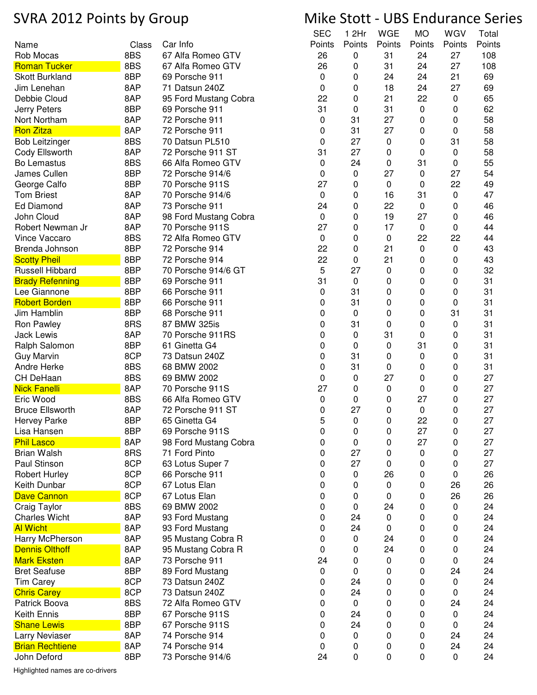|                                               |       |                       | <b>SEC</b> | 1 2Hr        | WGE    | МO     | WGV       | Total  |
|-----------------------------------------------|-------|-----------------------|------------|--------------|--------|--------|-----------|--------|
| Name                                          | Class | Car Info              | Points     | Points       | Points | Points | Points    | Points |
| Rob Mocas                                     | 8BS   | 67 Alfa Romeo GTV     | 26         | 0            | 31     | 24     | 27        | 108    |
| <b>Roman Tucker</b>                           | 8BS   | 67 Alfa Romeo GTV     | 26         | 0            | 31     | 24     | 27        | 108    |
| <b>Skott Burkland</b>                         | 8BP   | 69 Porsche 911        | 0          | 0            | 24     | 24     | 21        | 69     |
| Jim Lenehan                                   | 8AP   | 71 Datsun 240Z        | 0          | 0            | 18     | 24     | 27        | 69     |
| Debbie Cloud                                  | 8AP   | 95 Ford Mustang Cobra | 22         | 0            | 21     | 22     | 0         | 65     |
| Jerry Peters                                  | 8BP   | 69 Porsche 911        | 31         | 0            | 31     | 0      | 0         | 62     |
| Nort Northam                                  | 8AP   | 72 Porsche 911        | 0          | 31           | 27     | 0      | 0         | 58     |
| <b>Ron Zitza</b>                              | 8AP   | 72 Porsche 911        | 0          | 31           | 27     | 0      | 0         | 58     |
| <b>Bob Leitzinger</b>                         | 8BS   | 70 Datsun PL510       | 0          | 27           | 0      | 0      | 31        | 58     |
| Cody Ellsworth                                | 8AP   | 72 Porsche 911 ST     | 31         | 27           | 0      | 0      | 0         | 58     |
| Bo Lemastus                                   | 8BS   | 66 Alfa Romeo GTV     | 0          | 24           | 0      | 31     | 0         | 55     |
| James Cullen                                  | 8BP   | 72 Porsche 914/6      | 0          | 0            | 27     | 0      | 27        | 54     |
| George Calfo                                  | 8BP   | 70 Porsche 911S       | 27         | 0            | 0      | 0      | 22        | 49     |
| <b>Tom Briest</b>                             | 8AP   | 70 Porsche 914/6      | 0          | 0            | 16     | 31     | 0         | 47     |
| <b>Ed Diamond</b>                             | 8AP   | 73 Porsche 911        | 24         | 0            | 22     | 0      | 0         | 46     |
| John Cloud                                    | 8AP   | 98 Ford Mustang Cobra | 0          | 0            | 19     | 27     | 0         | 46     |
| Robert Newman Jr                              | 8AP   | 70 Porsche 911S       | 27         | 0            | 17     | 0      | 0         | 44     |
| Vince Vaccaro                                 | 8BS   | 72 Alfa Romeo GTV     | 0          | 0            | 0      | 22     | 22        | 44     |
| Brenda Johnson                                | 8BP   | 72 Porsche 914        | 22         | 0            | 21     | 0      |           | 43     |
|                                               | 8BP   | 72 Porsche 914        | 22         | 0            | 21     |        | 0         | 43     |
| <b>Scotty Pheil</b><br><b>Russell Hibbard</b> |       |                       |            | 27           |        | 0      | 0         |        |
|                                               | 8BP   | 70 Porsche 914/6 GT   | 5          |              | 0      | 0      | 0         | 32     |
| <b>Brady Refenning</b>                        | 8BP   | 69 Porsche 911        | 31         | 0            | 0      | 0      | 0         | 31     |
| Lee Giannone                                  | 8BP   | 66 Porsche 911        | 0          | 31           | 0      | 0      | 0         | 31     |
| <b>Robert Borden</b>                          | 8BP   | 66 Porsche 911        | 0          | 31           | 0      | 0      | 0         | 31     |
| Jim Hamblin                                   | 8BP   | 68 Porsche 911        | 0          | 0            | 0      | 0      | 31        | 31     |
| Ron Pawley                                    | 8RS   | 87 BMW 325is          | 0          | 31           | 0      | 0      | 0         | 31     |
| <b>Jack Lewis</b>                             | 8AP   | 70 Porsche 911RS      | 0          | 0            | 31     | 0      | 0         | 31     |
| Ralph Salomon                                 | 8BP   | 61 Ginetta G4         | 0          | 0            | 0      | 31     | 0         | 31     |
| <b>Guy Marvin</b>                             | 8CP   | 73 Datsun 240Z        | 0          | 31           | 0      | 0      | 0         | 31     |
| Andre Herke                                   | 8BS   | 68 BMW 2002           | 0          | 31           | 0      | 0      | 0         | 31     |
| CH DeHaan                                     | 8BS   | 69 BMW 2002           | 0          | 0            | 27     | 0      | 0         | 27     |
| <b>Nick Fanelli</b>                           | 8AP   | 70 Porsche 911S       | 27         | 0            | 0      | 0      | 0         | 27     |
| Eric Wood                                     | 8BS   | 66 Alfa Romeo GTV     | 0          | 0            | 0      | 27     | 0         | 27     |
| <b>Bruce Ellsworth</b>                        | 8AP   | 72 Porsche 911 ST     | 0          | 27           | 0      | 0      | 0         | 27     |
| <b>Hervey Parke</b>                           | 8BP   | 65 Ginetta G4         | 5          | $\mathbf{0}$ | 0      | 22     | 0         | 27     |
| Lisa Hansen                                   | 8BP   | 69 Porsche 911S       | 0          | 0            | 0      | 27     | 0         | 27     |
| <b>Phil Lasco</b>                             | 8AP   | 98 Ford Mustang Cobra | 0          | 0            | 0      | 27     | 0         | 27     |
| <b>Brian Walsh</b>                            | 8RS   | 71 Ford Pinto         | 0          | 27           | 0      | 0      | 0         | 27     |
| Paul Stinson                                  | 8CP   | 63 Lotus Super 7      | 0          | 27           | 0      | 0      | 0         | 27     |
| <b>Robert Hurley</b>                          | 8CP   | 66 Porsche 911        | 0          | 0            | 26     | 0      | 0         | 26     |
| Keith Dunbar                                  | 8CP   | 67 Lotus Elan         | 0          | 0            | 0      | 0      | 26        | 26     |
| <b>Dave Cannon</b>                            | 8CP   | 67 Lotus Elan         | 0          | 0            | 0      | 0      | 26        | 26     |
| Craig Taylor                                  | 8BS   | 69 BMW 2002           | 0          | 0            | 24     | 0      | 0         | 24     |
| <b>Charles Wicht</b>                          | 8AP   | 93 Ford Mustang       | 0          | 24           | 0      | 0      | 0         | 24     |
| <b>Al Wicht</b>                               | 8AP   | 93 Ford Mustang       | 0          | 24           | 0      | 0      | 0         | 24     |
| Harry McPherson                               | 8AP   | 95 Mustang Cobra R    | 0          | 0            | 24     | 0      | 0         | 24     |
| <b>Dennis Olthoff</b>                         | 8AP   | 95 Mustang Cobra R    | 0          | 0            | 24     | 0      | 0         | 24     |
| <b>Mark Eksten</b>                            | 8AP   | 73 Porsche 911        | 24         | 0            | 0      | 0      | 0         | 24     |
| <b>Bret Seafuse</b>                           | 8BP   | 89 Ford Mustang       | 0          | 0            | 0      | 0      | 24        | 24     |
| <b>Tim Carey</b>                              | 8CP   | 73 Datsun 240Z        | 0          | 24           | 0      | 0      | 0         | 24     |
| <b>Chris Carey</b>                            | 8CP   | 73 Datsun 240Z        | 0          | 24           | 0      | 0      | 0         | 24     |
| Patrick Boova                                 | 8BS   | 72 Alfa Romeo GTV     | 0          | 0            | 0      | 0      | 24        | 24     |
| Keith Ennis                                   | 8BP   | 67 Porsche 911S       | 0          | 24           | 0      | 0      | 0         | 24     |
| <b>Shane Lewis</b>                            | 8BP   | 67 Porsche 911S       | 0          | 24           | 0      | 0      | 0         | 24     |
| Larry Neviaser                                | 8AP   | 74 Porsche 914        | 0          | 0            | 0      | 0      | 24        | 24     |
| <b>Brian Rechtiene</b>                        | 8AP   | 74 Porsche 914        | 0          | 0            | 0      | 0      | 24        | 24     |
| John Deford                                   | 8BP   | 73 Porsche 914/6      | 24         | 0            | 0      | 0      | $\pmb{0}$ | 24     |

Highlighted names are co-drivers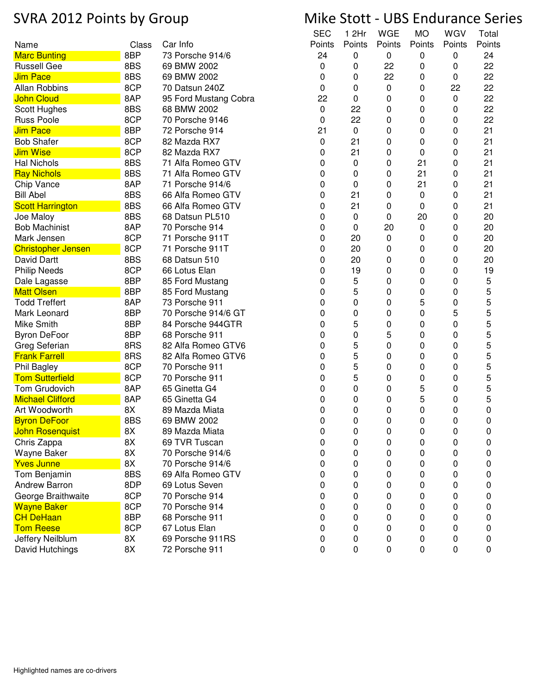|                           |       |                       | <b>SEC</b> | 1 2Hr     | WGE    | МO     | WGV    | Total  |
|---------------------------|-------|-----------------------|------------|-----------|--------|--------|--------|--------|
| Name                      | Class | Car Info              | Points     | Points    | Points | Points | Points | Points |
| <b>Marc Bunting</b>       | 8BP   | 73 Porsche 914/6      | 24         | 0         | 0      | 0      | 0      | 24     |
| <b>Russell Gee</b>        | 8BS   | 69 BMW 2002           | 0          | 0         | 22     | 0      | 0      | 22     |
| <b>Jim Pace</b>           | 8BS   | 69 BMW 2002           | 0          | 0         | 22     | 0      | 0      | 22     |
| <b>Allan Robbins</b>      | 8CP   | 70 Datsun 240Z        | 0          | 0         | 0      | 0      | 22     | 22     |
| <b>John Cloud</b>         | 8AP   | 95 Ford Mustang Cobra | 22         | 0         | 0      | 0      | 0      | 22     |
| Scott Hughes              | 8BS   | 68 BMW 2002           | 0          | 22        | 0      | 0      | 0      | 22     |
| <b>Russ Poole</b>         | 8CP   | 70 Porsche 9146       | 0          | 22        | 0      | 0      | 0      | 22     |
| <b>Jim Pace</b>           | 8BP   | 72 Porsche 914        | 21         | 0         | 0      | 0      | 0      | 21     |
| <b>Bob Shafer</b>         | 8CP   | 82 Mazda RX7          | 0          | 21        | 0      | 0      | 0      | 21     |
| <b>Jim Wise</b>           | 8CP   | 82 Mazda RX7          | 0          | 21        | 0      | 0      | 0      | 21     |
| <b>Hal Nichols</b>        | 8BS   | 71 Alfa Romeo GTV     | 0          | 0         | 0      | 21     | 0      | 21     |
| <b>Ray Nichols</b>        | 8BS   | 71 Alfa Romeo GTV     | 0          | 0         | 0      | 21     | 0      | 21     |
| Chip Vance                | 8AP   | 71 Porsche 914/6      | 0          | 0         | 0      | 21     | 0      | 21     |
| <b>Bill Abel</b>          | 8BS   | 66 Alfa Romeo GTV     | 0          | 21        | 0      | 0      | 0      | 21     |
| <b>Scott Harrington</b>   | 8BS   | 66 Alfa Romeo GTV     | 0          | 21        | 0      | 0      | 0      | 21     |
| Joe Maloy                 | 8BS   | 68 Datsun PL510       | 0          | 0         | 0      | 20     | 0      | 20     |
| <b>Bob Machinist</b>      | 8AP   | 70 Porsche 914        | 0          | 0         | 20     | 0      | 0      | 20     |
| Mark Jensen               | 8CP   | 71 Porsche 911T       | 0          | 20        | 0      | 0      | 0      | 20     |
| <b>Christopher Jensen</b> | 8CP   | 71 Porsche 911T       | 0          | 20        | 0      | 0      | 0      | 20     |
| David Dartt               | 8BS   | 68 Datsun 510         | 0          | 20        | 0      | 0      | 0      | 20     |
| <b>Philip Needs</b>       | 8CP   | 66 Lotus Elan         | 0          | 19        | 0      | 0      | 0      | 19     |
| Dale Lagasse              | 8BP   | 85 Ford Mustang       | 0          | 5         | 0      | 0      | 0      | 5      |
| <b>Matt Olsen</b>         | 8BP   | 85 Ford Mustang       | 0          | 5         | 0      | 0      | 0      | 5      |
| <b>Todd Treffert</b>      | 8AP   | 73 Porsche 911        | 0          | 0         | 0      | 5      | 0      | 5      |
| Mark Leonard              | 8BP   | 70 Porsche 914/6 GT   | 0          | 0         | 0      | 0      | 5      | 5      |
| <b>Mike Smith</b>         | 8BP   | 84 Porsche 944GTR     | 0          | 5         | 0      | 0      | 0      | 5      |
| <b>Byron DeFoor</b>       | 8BP   | 68 Porsche 911        | 0          | 0         | 5      | 0      | 0      | 5      |
| Greg Seferian             | 8RS   | 82 Alfa Romeo GTV6    | 0          | 5         | 0      | 0      | 0      | 5      |
| <b>Frank Farrell</b>      | 8RS   | 82 Alfa Romeo GTV6    | 0          | 5         | 0      | 0      | 0      | 5      |
| Phil Bagley               | 8CP   | 70 Porsche 911        | 0          | 5         | 0      | 0      | 0      | 5      |
| <b>Tom Sutterfield</b>    | 8CP   | 70 Porsche 911        | 0          | 5         | 0      | 0      | 0      | 5      |
| Tom Grudovich             | 8AP   | 65 Ginetta G4         | 0          | 0         | 0      | 5      | 0      | 5      |
| <b>Michael Clifford</b>   | 8AP   | 65 Ginetta G4         | 0          | 0         | 0      | 5      | 0      | 5      |
| Art Woodworth             | 8X    | 89 Mazda Miata        | 0          | 0         | 0      | 0      | 0      | 0      |
| <b>Byron DeFoor</b>       | 8BS   | 69 BMW 2002           | 0          | 0         | 0      | 0      | 0      | 0      |
| <b>John Rosenquist</b>    | 8X    | 89 Mazda Miata        | 0          | 0         | 0      | 0      | 0      | 0      |
| Chris Zappa               | 8X    | 69 TVR Tuscan         | 0          | 0         | 0      | 0      | 0      | 0      |
| Wayne Baker               | 8X    | 70 Porsche 914/6      | 0          | 0         | 0      | 0      | 0      | 0      |
| <b>Yves Junne</b>         | 8X    | 70 Porsche 914/6      | 0          | 0         | 0      | 0      | 0      | 0      |
| Tom Benjamin              | 8BS   | 69 Alfa Romeo GTV     | 0          | 0         | 0      | 0      | 0      | 0      |
| Andrew Barron             | 8DP   | 69 Lotus Seven        | 0          | 0         | 0      | 0      | 0      | 0      |
| George Braithwaite        | 8CP   | 70 Porsche 914        | 0          | 0         | 0      | 0      | 0      | 0      |
| <b>Wayne Baker</b>        | 8CP   | 70 Porsche 914        | 0          | 0         | 0      | 0      | 0      | 0      |
| <b>CH DeHaan</b>          | 8BP   | 68 Porsche 911        | 0          | 0         | 0      | 0      | 0      | 0      |
| <b>Tom Reese</b>          | 8CP   | 67 Lotus Elan         | 0          | 0         | 0      | 0      | 0      | 0      |
| Jeffery Neilblum          | 8X    | 69 Porsche 911RS      | 0          | 0         | 0      | 0      | 0      | 0      |
| David Hutchings           | 8X    | 72 Porsche 911        | 0          | $\pmb{0}$ | 0      | 0      | 0      | 0      |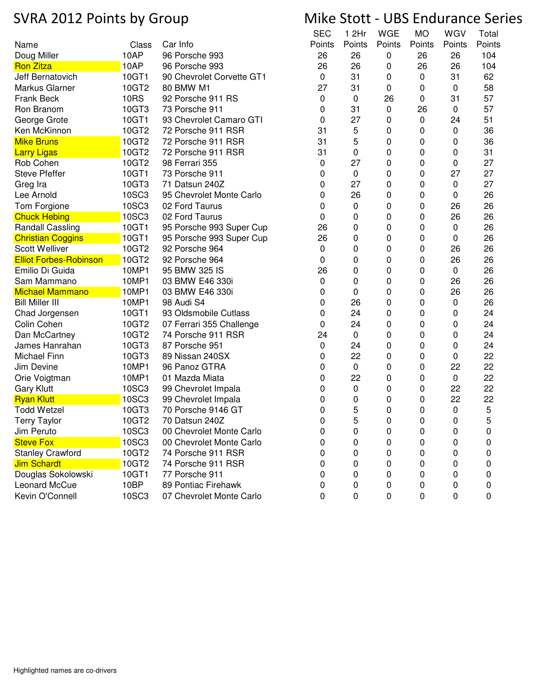|                               |             |                           | SEC    | 1 2Hr  | WGE      | МO        | WGV    | Total  |
|-------------------------------|-------------|---------------------------|--------|--------|----------|-----------|--------|--------|
| Name                          | Class       | Car Info                  | Points | Points | Points   | Points    | Points | Points |
| Doug Miller                   | 10AP        | 96 Porsche 993            | 26     | 26     | 0        | 26        | 26     | 104    |
| <b>Ron Zitza</b>              | 10AP        | 96 Porsche 993            | 26     | 26     | 0        | 26        | 26     | 104    |
| Jeff Bernatovich              | 10GT1       | 90 Chevrolet Corvette GT1 | 0      | 31     | 0        | 0         | 31     | 62     |
| Markus Glarner                | 10GT2       | 80 BMW M1                 | 27     | 31     | 0        | 0         | 0      | 58     |
| <b>Frank Beck</b>             | <b>10RS</b> | 92 Porsche 911 RS         | 0      | 0      | 26       | 0         | 31     | 57     |
| Ron Branom                    | 10GT3       | 73 Porsche 911            | 0      | 31     | 0        | 26        | 0      | 57     |
| George Grote                  | 10GT1       | 93 Chevrolet Camaro GTI   | 0      | 27     | 0        | $\pmb{0}$ | 24     | 51     |
| Ken McKinnon                  | 10GT2       | 72 Porsche 911 RSR        | 31     | 5      | 0        | 0         | 0      | 36     |
| <b>Mike Bruns</b>             | 10GT2       | 72 Porsche 911 RSR        | 31     | 5      | 0        | 0         | 0      | 36     |
| <b>Larry Ligas</b>            | 10GT2       | 72 Porsche 911 RSR        | 31     | 0      | 0        | 0         | 0      | 31     |
| Rob Cohen                     | 10GT2       | 98 Ferrari 355            | 0      | 27     | 0        | 0         | 0      | 27     |
| <b>Steve Pfeffer</b>          | 10GT1       | 73 Porsche 911            | 0      | 0      | 0        | 0         | 27     | 27     |
| Greg Ira                      | 10GT3       | 71 Datsun 240Z            | 0      | 27     | 0        | 0         | 0      | 27     |
| Lee Arnold                    | 10SC3       | 95 Chevrolet Monte Carlo  | 0      | 26     | 0        | 0         | 0      | 26     |
| Tom Forgione                  | 10SC3       | 02 Ford Taurus            | 0      | 0      | 0        | 0         | 26     | 26     |
| <b>Chuck Hebing</b>           | 10SC3       | 02 Ford Taurus            | 0      | 0      | 0        | 0         | 26     | 26     |
| Randall Cassling              | 10GT1       | 95 Porsche 993 Super Cup  | 26     | 0      | 0        | 0         | 0      | 26     |
| <b>Christian Coggins</b>      | 10GT1       | 95 Porsche 993 Super Cup  | 26     | 0      | 0        | 0         | 0      | 26     |
| <b>Scott Welliver</b>         | 10GT2       | 92 Porsche 964            | 0      | 0      | 0        | 0         | 26     | 26     |
| <b>Elliot Forbes-Robinson</b> | 10GT2       | 92 Porsche 964            | 0      | 0      | 0        | 0         | 26     | 26     |
| Emilio Di Guida               | 10MP1       | 95 BMW 325 IS             | 26     | 0      | 0        | 0         | 0      | 26     |
| Sam Mammano                   | 10MP1       | 03 BMW E46 330i           | 0      | 0      | 0        | 0         | 26     | 26     |
| <b>Michael Mammano</b>        | 10MP1       | 03 BMW E46 330i           | 0      | 0      | 0        | 0         | 26     | 26     |
| <b>Bill Miller III</b>        | 10MP1       | 98 Audi S4                | 0      | 26     | 0        | 0         | 0      | 26     |
| Chad Jorgensen                | 10GT1       | 93 Oldsmobile Cutlass     | 0      | 24     | 0        | 0         | 0      | 24     |
| Colin Cohen                   | 10GT2       | 07 Ferrari 355 Challenge  | 0      | 24     | 0        | 0         | 0      | 24     |
| Dan McCartney                 | 10GT2       | 74 Porsche 911 RSR        | 24     | 0      | 0        | 0         | 0      | 24     |
| James Hanrahan                | 10GT3       | 87 Porsche 951            | 0      | 24     | 0        | 0         | 0      | 24     |
| Michael Finn                  | 10GT3       | 89 Nissan 240SX           | 0      | 22     | 0        | 0         | 0      | 22     |
| Jim Devine                    | 10MP1       | 96 Panoz GTRA             | 0      | 0      | 0        | 0         | 22     | 22     |
| Orie Voigtman                 | 10MP1       | 01 Mazda Miata            | 0      | 22     | 0        | 0         | 0      | 22     |
| <b>Gary Klutt</b>             | 10SC3       | 99 Chevrolet Impala       | 0      | 0      | 0        | 0         | 22     | 22     |
| <b>Ryan Klutt</b>             | 10SC3       | 99 Chevrolet Impala       | 0      | 0      | 0        | 0         | 22     | 22     |
| <b>Todd Wetzel</b>            | 10GT3       | 70 Porsche 9146 GT        | 0      | 5      | 0        | 0         | 0      | 5      |
| <b>Terry Taylor</b>           | 10GT2       | 70 Datsun 240Z            | 0      | 5      | $\Omega$ | 0         | 0      | 5      |
| Jim Peruto                    | 10SC3       | 00 Chevrolet Monte Carlo  | 0      | 0      | 0        | 0         | 0      | 0      |
| <b>Steve Fox</b>              | 10SC3       | 00 Chevrolet Monte Carlo  | 0      | 0      | 0        | 0         | 0      | 0      |
| <b>Stanley Crawford</b>       | 10GT2       | 74 Porsche 911 RSR        | 0      | 0      | 0        | 0         | 0      | 0      |
| <b>Jim Schardt</b>            | 10GT2       | 74 Porsche 911 RSR        | 0      | 0      | 0        | 0         | 0      | 0      |
| Douglas Sokolowski            | 10GT1       | 77 Porsche 911            | 0      | 0      | 0        | 0         | 0      | 0      |
| Leonard McCue                 | 10BP        | 89 Pontiac Firehawk       | 0      | 0      | 0        | 0         | 0      | 0      |
| Kevin O'Connell               | 10SC3       | 07 Chevrolet Monte Carlo  | 0      | 0      | 0        | 0         | 0      | 0      |